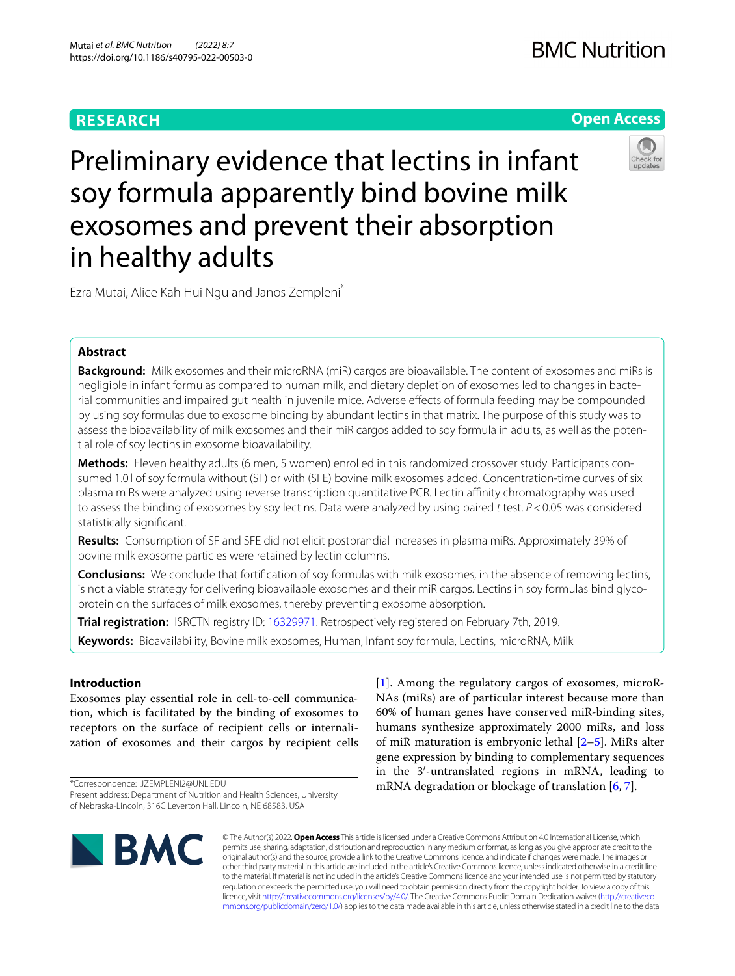# **RESEARCH**

# **Open Access**



Preliminary evidence that lectins in infant soy formula apparently bind bovine milk exosomes and prevent their absorption in healthy adults

Ezra Mutai, Alice Kah Hui Ngu and Janos Zempleni\*

# **Abstract**

**Background:** Milk exosomes and their microRNA (miR) cargos are bioavailable. The content of exosomes and miRs is negligible in infant formulas compared to human milk, and dietary depletion of exosomes led to changes in bacterial communities and impaired gut health in juvenile mice. Adverse efects of formula feeding may be compounded by using soy formulas due to exosome binding by abundant lectins in that matrix. The purpose of this study was to assess the bioavailability of milk exosomes and their miR cargos added to soy formula in adults, as well as the potential role of soy lectins in exosome bioavailability.

**Methods:** Eleven healthy adults (6 men, 5 women) enrolled in this randomized crossover study. Participants consumed 1.01 of soy formula without (SF) or with (SFE) bovine milk exosomes added. Concentration-time curves of six plasma miRs were analyzed using reverse transcription quantitative PCR. Lectin afnity chromatography was used to assess the binding of exosomes by soy lectins. Data were analyzed by using paired *t* test. *P*<0.05 was considered statistically signifcant.

**Results:** Consumption of SF and SFE did not elicit postprandial increases in plasma miRs. Approximately 39% of bovine milk exosome particles were retained by lectin columns.

**Conclusions:** We conclude that fortifcation of soy formulas with milk exosomes, in the absence of removing lectins, is not a viable strategy for delivering bioavailable exosomes and their miR cargos. Lectins in soy formulas bind glycoprotein on the surfaces of milk exosomes, thereby preventing exosome absorption.

**Trial registration:** ISRCTN registry ID: [16329971](https://www.isrctn.com/ISRCTN16329971?q=mutai&filters=&sort=&offset=1&totalResults=1&page=1&pageSize=10&searchType=basic-search). Retrospectively registered on February 7th, 2019.

**Keywords:** Bioavailability, Bovine milk exosomes, Human, Infant soy formula, Lectins, microRNA, Milk

# **Introduction**

Exosomes play essential role in cell-to-cell communication, which is facilitated by the binding of exosomes to receptors on the surface of recipient cells or internalization of exosomes and their cargos by recipient cells

\*Correspondence: JZEMPLENI2@UNL.EDU Present address: Department of Nutrition and Health Sciences, University of Nebraska-Lincoln, 316C Leverton Hall, Lincoln, NE 68583, USA

[[1\]](#page-4-0). Among the regulatory cargos of exosomes, microR-NAs (miRs) are of particular interest because more than 60% of human genes have conserved miR-binding sites, humans synthesize approximately 2000 miRs, and loss of miR maturation is embryonic lethal [[2–](#page-4-1)[5\]](#page-4-2). MiRs alter gene expression by binding to complementary sequences in the 3′-untranslated regions in mRNA, leading to mRNA degradation or blockage of translation [[6,](#page-4-3) [7](#page-4-4)].



© The Author(s) 2022. **Open Access** This article is licensed under a Creative Commons Attribution 4.0 International License, which permits use, sharing, adaptation, distribution and reproduction in any medium or format, as long as you give appropriate credit to the original author(s) and the source, provide a link to the Creative Commons licence, and indicate if changes were made. The images or other third party material in this article are included in the article's Creative Commons licence, unless indicated otherwise in a credit line to the material. If material is not included in the article's Creative Commons licence and your intended use is not permitted by statutory regulation or exceeds the permitted use, you will need to obtain permission directly from the copyright holder. To view a copy of this licence, visit [http://creativecommons.org/licenses/by/4.0/.](http://creativecommons.org/licenses/by/4.0/) The Creative Commons Public Domain Dedication waiver ([http://creativeco](http://creativecommons.org/publicdomain/zero/1.0/) [mmons.org/publicdomain/zero/1.0/](http://creativecommons.org/publicdomain/zero/1.0/)) applies to the data made available in this article, unless otherwise stated in a credit line to the data.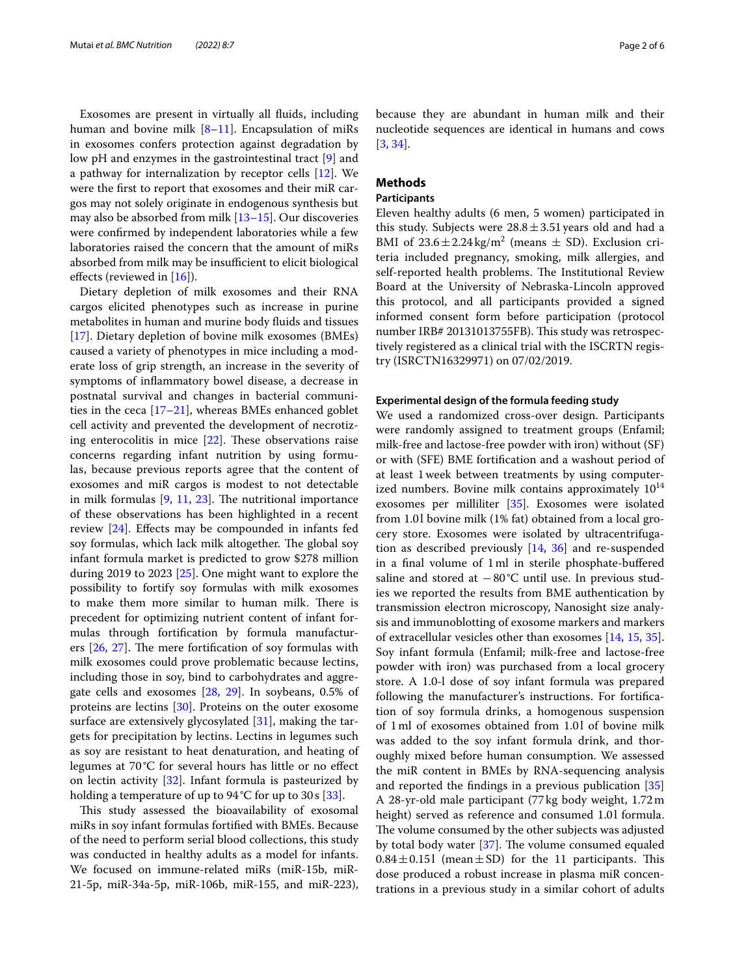Exosomes are present in virtually all fuids, including human and bovine milk  $[8-11]$  $[8-11]$  $[8-11]$ . Encapsulation of miRs in exosomes confers protection against degradation by low pH and enzymes in the gastrointestinal tract [\[9](#page-4-6)] and a pathway for internalization by receptor cells [[12\]](#page-5-1). We were the frst to report that exosomes and their miR cargos may not solely originate in endogenous synthesis but may also be absorbed from milk [[13–](#page-5-2)[15](#page-5-3)]. Our discoveries were confrmed by independent laboratories while a few laboratories raised the concern that the amount of miRs absorbed from milk may be insufficient to elicit biological efects (reviewed in [\[16](#page-5-4)]).

Dietary depletion of milk exosomes and their RNA cargos elicited phenotypes such as increase in purine metabolites in human and murine body fuids and tissues [[17\]](#page-5-5). Dietary depletion of bovine milk exosomes (BMEs) caused a variety of phenotypes in mice including a moderate loss of grip strength, an increase in the severity of symptoms of infammatory bowel disease, a decrease in postnatal survival and changes in bacterial communities in the ceca [[17–](#page-5-5)[21\]](#page-5-6), whereas BMEs enhanced goblet cell activity and prevented the development of necrotizing enterocolitis in mice  $[22]$  $[22]$ . These observations raise concerns regarding infant nutrition by using formulas, because previous reports agree that the content of exosomes and miR cargos is modest to not detectable in milk formulas  $[9, 11, 23]$  $[9, 11, 23]$  $[9, 11, 23]$  $[9, 11, 23]$  $[9, 11, 23]$  $[9, 11, 23]$  $[9, 11, 23]$ . The nutritional importance of these observations has been highlighted in a recent review [[24\]](#page-5-9). Efects may be compounded in infants fed soy formulas, which lack milk altogether. The global soy infant formula market is predicted to grow \$278 million during 2019 to 2023 [[25](#page-5-10)]. One might want to explore the possibility to fortify soy formulas with milk exosomes to make them more similar to human milk. There is precedent for optimizing nutrient content of infant formulas through fortifcation by formula manufacturers  $[26, 27]$  $[26, 27]$  $[26, 27]$ . The mere fortification of soy formulas with milk exosomes could prove problematic because lectins, including those in soy, bind to carbohydrates and aggregate cells and exosomes [\[28](#page-5-13), [29\]](#page-5-14). In soybeans, 0.5% of proteins are lectins [\[30\]](#page-5-15). Proteins on the outer exosome surface are extensively glycosylated [\[31\]](#page-5-16), making the targets for precipitation by lectins. Lectins in legumes such as soy are resistant to heat denaturation, and heating of legumes at 70 °C for several hours has little or no efect on lectin activity [[32\]](#page-5-17). Infant formula is pasteurized by holding a temperature of up to  $94^{\circ}$ C for up to  $30s$  [ $33$ ].

This study assessed the bioavailability of exosomal miRs in soy infant formulas fortifed with BMEs. Because of the need to perform serial blood collections, this study was conducted in healthy adults as a model for infants. We focused on immune-related miRs (miR-15b, miR-21-5p, miR-34a-5p, miR-106b, miR-155, and miR-223), because they are abundant in human milk and their nucleotide sequences are identical in humans and cows [[3,](#page-4-7) [34](#page-5-19)].

# **Methods**

### **Participants**

Eleven healthy adults (6 men, 5 women) participated in this study. Subjects were  $28.8 \pm 3.51$  years old and had a BMI of  $23.6 \pm 2.24 \text{ kg/m}^2$  (means  $\pm$  SD). Exclusion criteria included pregnancy, smoking, milk allergies, and self-reported health problems. The Institutional Review Board at the University of Nebraska-Lincoln approved this protocol, and all participants provided a signed informed consent form before participation (protocol number IRB# 20131013755FB). This study was retrospectively registered as a clinical trial with the ISCRTN registry (ISRCTN16329971) on 07/02/2019.

### **Experimental design of the formula feeding study**

We used a randomized cross-over design. Participants were randomly assigned to treatment groups (Enfamil; milk-free and lactose-free powder with iron) without (SF) or with (SFE) BME fortifcation and a washout period of at least 1week between treatments by using computerized numbers. Bovine milk contains approximately  $10^{14}$ exosomes per milliliter [[35\]](#page-5-20). Exosomes were isolated from 1.0l bovine milk (1% fat) obtained from a local grocery store. Exosomes were isolated by ultracentrifugation as described previously [[14,](#page-5-21) [36\]](#page-5-22) and re-suspended in a final volume of 1ml in sterile phosphate-buffered saline and stored at  $-80^{\circ}$ C until use. In previous studies we reported the results from BME authentication by transmission electron microscopy, Nanosight size analysis and immunoblotting of exosome markers and markers of extracellular vesicles other than exosomes [[14,](#page-5-21) [15](#page-5-3), [35](#page-5-20)]. Soy infant formula (Enfamil; milk-free and lactose-free powder with iron) was purchased from a local grocery store. A 1.0-l dose of soy infant formula was prepared following the manufacturer's instructions. For fortifcation of soy formula drinks, a homogenous suspension of 1ml of exosomes obtained from 1.0l of bovine milk was added to the soy infant formula drink, and thoroughly mixed before human consumption. We assessed the miR content in BMEs by RNA-sequencing analysis and reported the fndings in a previous publication [[35](#page-5-20)] A 28-yr-old male participant (77 kg body weight, 1.72m height) served as reference and consumed 1.0l formula. The volume consumed by the other subjects was adjusted by total body water  $[37]$  $[37]$ . The volume consumed equaled  $0.84 \pm 0.151$  (mean  $\pm$  SD) for the 11 participants. This dose produced a robust increase in plasma miR concentrations in a previous study in a similar cohort of adults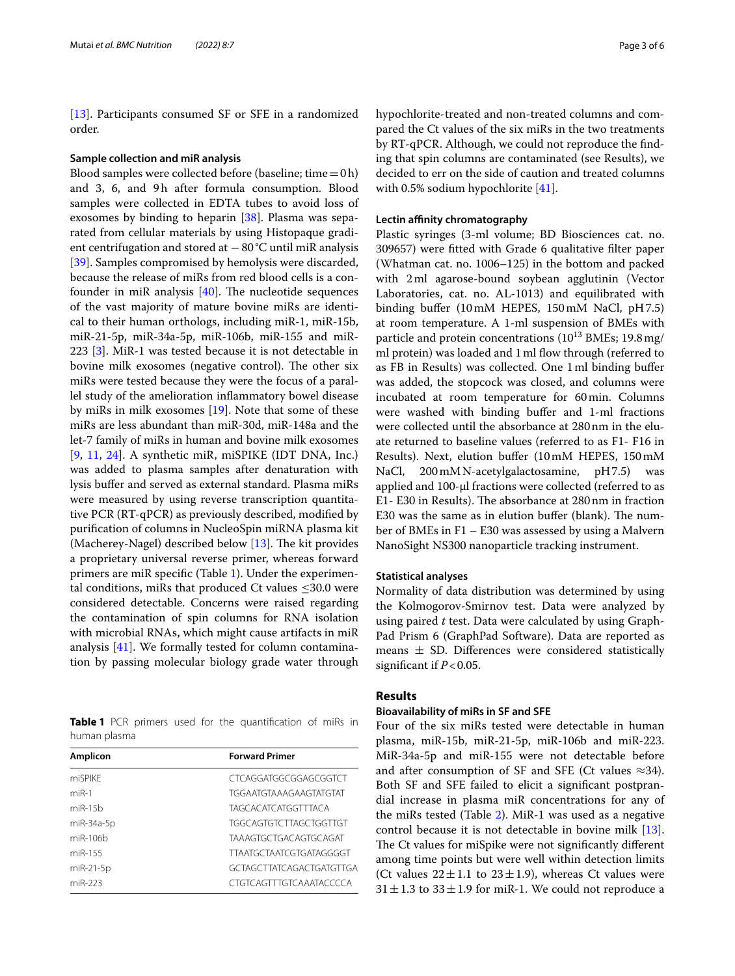[[13\]](#page-5-2). Participants consumed SF or SFE in a randomized order.

### **Sample collection and miR analysis**

Blood samples were collected before (baseline; time =  $0h$ ) and 3, 6, and 9h after formula consumption. Blood samples were collected in EDTA tubes to avoid loss of exosomes by binding to heparin [\[38](#page-5-24)]. Plasma was separated from cellular materials by using Histopaque gradient centrifugation and stored at −80°C until miR analysis [[39\]](#page-5-25). Samples compromised by hemolysis were discarded, because the release of miRs from red blood cells is a confounder in miR analysis  $[40]$ . The nucleotide sequences of the vast majority of mature bovine miRs are identical to their human orthologs, including miR-1, miR-15b, miR-21-5p, miR-34a-5p, miR-106b, miR-155 and miR-223 [[3\]](#page-4-7). MiR-1 was tested because it is not detectable in bovine milk exosomes (negative control). The other six miRs were tested because they were the focus of a parallel study of the amelioration infammatory bowel disease by miRs in milk exosomes [\[19\]](#page-5-27). Note that some of these miRs are less abundant than miR-30d, miR-148a and the let-7 family of miRs in human and bovine milk exosomes [[9,](#page-4-6) [11](#page-5-0), [24](#page-5-9)]. A synthetic miR, miSPIKE (IDT DNA, Inc.) was added to plasma samples after denaturation with lysis bufer and served as external standard. Plasma miRs were measured by using reverse transcription quantitative PCR (RT-qPCR) as previously described, modifed by purifcation of columns in NucleoSpin miRNA plasma kit (Macherey-Nagel) described below  $[13]$ . The kit provides a proprietary universal reverse primer, whereas forward primers are miR specifc (Table [1\)](#page-2-0). Under the experimental conditions, miRs that produced Ct values ≤30.0 were considered detectable. Concerns were raised regarding the contamination of spin columns for RNA isolation with microbial RNAs, which might cause artifacts in miR analysis [[41\]](#page-5-28). We formally tested for column contamination by passing molecular biology grade water through

<span id="page-2-0"></span>**Table 1** PCR primers used for the quantification of miRs in human plasma

| Amplicon       | <b>Forward Primer</b>           |
|----------------|---------------------------------|
| miSPIKF        | CTCAGGATGGCGGAGCGGTCT           |
| $miR-1$        | <b>TGGAATGTAAAGAAGTATGTAT</b>   |
| $m$ i $R-1.5b$ | <b>TAGCACATCATGGTTTACA</b>      |
| miR-34a-5p     | TGGCAGTGTCTTAGCTGGTTGT          |
| $miR-106h$     | <b>TAAAGTGCTGACAGTGCAGAT</b>    |
| miR-155        | <b>TTAATGCTAATCGTGATAGGGGT</b>  |
| $miR-21-5p$    | <b>GCTAGCTTATCAGACTGATGTTGA</b> |
| miR-223        | CTGTCAGTTTGTCAAATACCCCA         |

hypochlorite-treated and non-treated columns and compared the Ct values of the six miRs in the two treatments by RT-qPCR. Although, we could not reproduce the fnding that spin columns are contaminated (see Results), we decided to err on the side of caution and treated columns with 0.5% sodium hypochlorite [\[41\]](#page-5-28).

## **Lectin afnity chromatography**

Plastic syringes (3-ml volume; BD Biosciences cat. no. 309657) were ftted with Grade 6 qualitative flter paper (Whatman cat. no. 1006–125) in the bottom and packed with 2ml agarose-bound soybean agglutinin (Vector Laboratories, cat. no. AL-1013) and equilibrated with binding bufer (10mM HEPES, 150mM NaCl, pH7.5) at room temperature. A 1-ml suspension of BMEs with particle and protein concentrations  $(10^{13}$  BMEs; 19.8 mg/ ml protein) was loaded and 1 ml flow through (referred to as FB in Results) was collected. One 1ml binding bufer was added, the stopcock was closed, and columns were incubated at room temperature for 60min. Columns were washed with binding bufer and 1-ml fractions were collected until the absorbance at 280nm in the eluate returned to baseline values (referred to as F1- F16 in Results). Next, elution bufer (10mM HEPES, 150mM NaCl, 200mMN-acetylgalactosamine, pH7.5) was applied and 100-μl fractions were collected (referred to as E1- E30 in Results). The absorbance at 280 nm in fraction E30 was the same as in elution buffer (blank). The number of BMEs in F1 – E30 was assessed by using a Malvern NanoSight NS300 nanoparticle tracking instrument.

### **Statistical analyses**

Normality of data distribution was determined by using the Kolmogorov-Smirnov test. Data were analyzed by using paired *t* test. Data were calculated by using Graph-Pad Prism 6 (GraphPad Software). Data are reported as means  $\pm$  SD. Differences were considered statistically signifcant if *P*<0.05.

### **Results**

### **Bioavailability of miRs in SF and SFE**

Four of the six miRs tested were detectable in human plasma, miR-15b, miR-21-5p, miR-106b and miR-223. MiR-34a-5p and miR-155 were not detectable before and after consumption of SF and SFE (Ct values  $\approx$ 34). Both SF and SFE failed to elicit a signifcant postprandial increase in plasma miR concentrations for any of the miRs tested (Table [2\)](#page-3-0). MiR-1 was used as a negative control because it is not detectable in bovine milk [\[13](#page-5-2)]. The Ct values for miSpike were not significantly different among time points but were well within detection limits (Ct values  $22 \pm 1.1$  to  $23 \pm 1.9$ ), whereas Ct values were  $31 \pm 1.3$  to  $33 \pm 1.9$  for miR-1. We could not reproduce a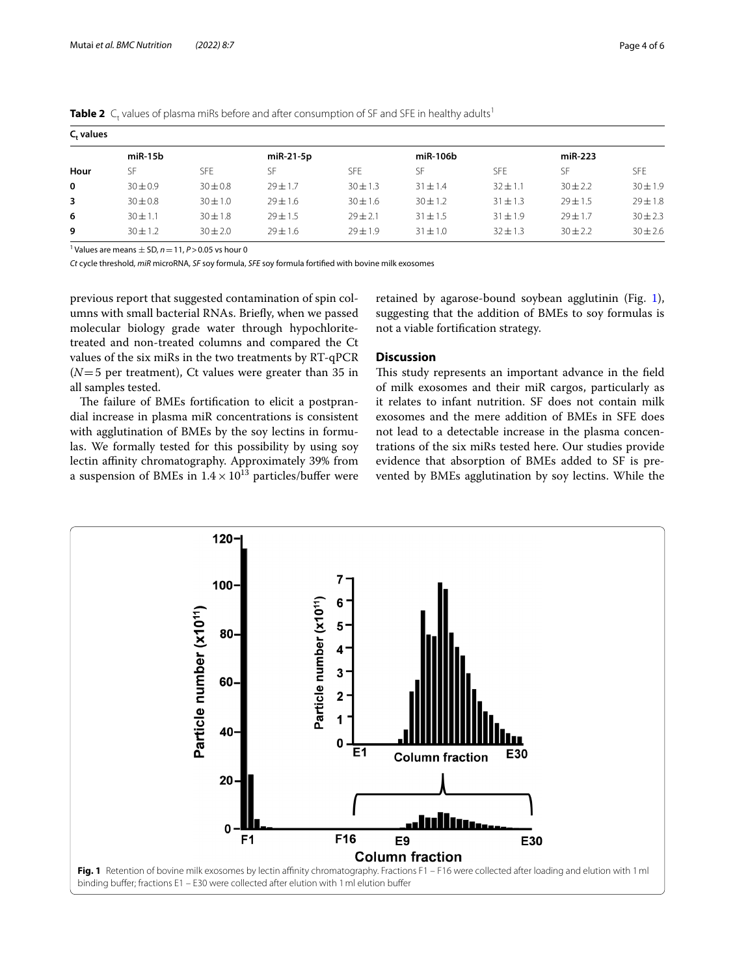| <b>Table 2</b> $C_f$ values by plasma mins before and arter consumption of 31 and 31 E in healthy addits |              |              |            |              |            |              |              |              |  |  |
|----------------------------------------------------------------------------------------------------------|--------------|--------------|------------|--------------|------------|--------------|--------------|--------------|--|--|
| C. values                                                                                                |              |              |            |              |            |              |              |              |  |  |
|                                                                                                          | miR-15b      |              | miR-21-5p  |              | miR-106b   |              | $miR-223$    |              |  |  |
| Hour                                                                                                     | SF           | <b>SFF</b>   | SF         | <b>SFE</b>   | SF         | <b>SFE</b>   | SF           | <b>SFE</b>   |  |  |
| 0                                                                                                        | $30 \pm 0.9$ | $30 \pm 0.8$ | $29 + 1.7$ | $30 \pm 1.3$ | $31 + 1.4$ | $32 + 1.1$   | $30 \pm 2.2$ | $30 \pm 1.9$ |  |  |
| 3                                                                                                        | $30 \pm 0.8$ | $30 \pm 1.0$ | $79 + 1.6$ | $30 \pm 1.6$ | $30 + 1.2$ | $31 \pm 1.3$ | $29 + 1.5$   | $29 \pm 1.8$ |  |  |
| 6                                                                                                        | $30 \pm 1.1$ | $30 \pm 1.8$ | $29 + 1.5$ | $29 \pm 2.1$ | $31 + 1.5$ | $31 \pm 1.9$ | $79 + 1.7$   | $30 \pm 2.3$ |  |  |
| 9                                                                                                        | $30 + 1.2$   | $30 + 2.0$   | $79 + 1.6$ | $79 + 1.9$   | $31 + 1.0$ | $32 + 1.3$   | $30 \pm 2.2$ | $30 \pm 2.6$ |  |  |

<span id="page-3-0"></span>**Table 2** C<sub>t</sub> values of plasma miRs before and after consumption of SF and SFE in healthy adults<sup>1</sup>

<sup>1</sup> Values are means  $\pm$  SD,  $n$  = 11,  $P$  > 0.05 vs hour 0

*Ct* cycle threshold, *miR* microRNA, *SF* soy formula, *SFE* soy formula fortifed with bovine milk exosomes

previous report that suggested contamination of spin columns with small bacterial RNAs. Briefy, when we passed molecular biology grade water through hypochloritetreated and non-treated columns and compared the Ct values of the six miRs in the two treatments by RT-qPCR (*N*=5 per treatment), Ct values were greater than 35 in all samples tested.

The failure of BMEs fortification to elicit a postprandial increase in plasma miR concentrations is consistent with agglutination of BMEs by the soy lectins in formulas. We formally tested for this possibility by using soy lectin affinity chromatography. Approximately 39% from a suspension of BMEs in  $1.4 \times 10^{13}$  particles/buffer were

retained by agarose-bound soybean agglutinin (Fig. [1](#page-3-1)), suggesting that the addition of BMEs to soy formulas is not a viable fortifcation strategy.

# **Discussion**

This study represents an important advance in the field of milk exosomes and their miR cargos, particularly as it relates to infant nutrition. SF does not contain milk exosomes and the mere addition of BMEs in SFE does not lead to a detectable increase in the plasma concentrations of the six miRs tested here. Our studies provide evidence that absorption of BMEs added to SF is prevented by BMEs agglutination by soy lectins. While the

<span id="page-3-1"></span>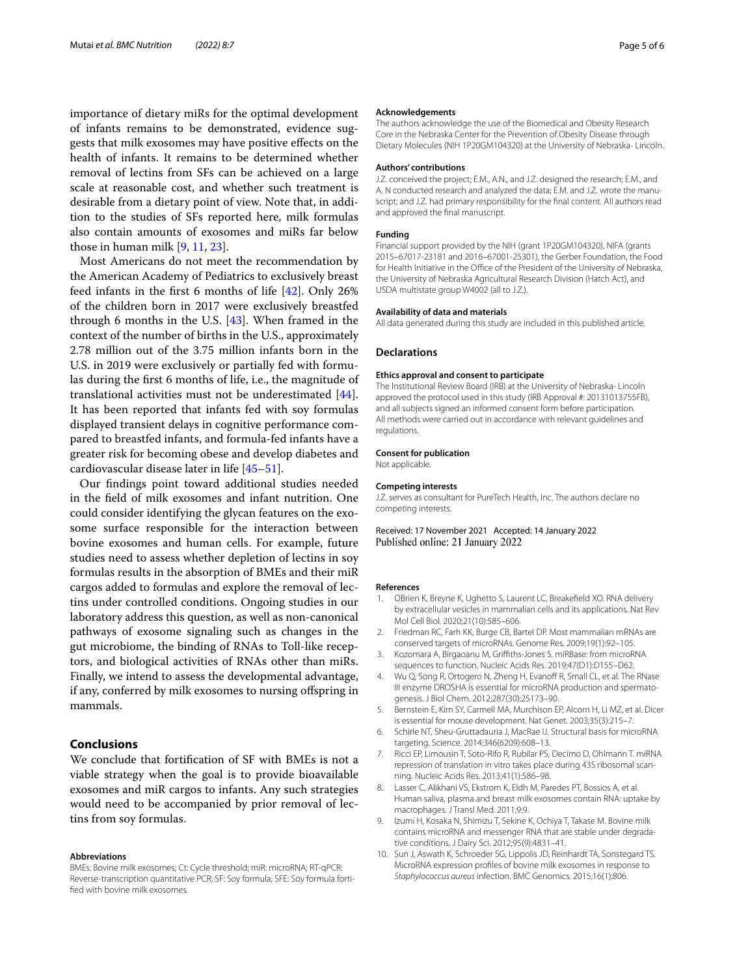importance of dietary miRs for the optimal development of infants remains to be demonstrated, evidence suggests that milk exosomes may have positive efects on the health of infants. It remains to be determined whether removal of lectins from SFs can be achieved on a large scale at reasonable cost, and whether such treatment is desirable from a dietary point of view. Note that, in addition to the studies of SFs reported here, milk formulas also contain amounts of exosomes and miRs far below those in human milk [\[9](#page-4-6), [11,](#page-5-0) [23](#page-5-8)].

Most Americans do not meet the recommendation by the American Academy of Pediatrics to exclusively breast feed infants in the frst 6 months of life [\[42](#page-5-29)]. Only 26% of the children born in 2017 were exclusively breastfed through 6 months in the U.S. [\[43](#page-5-30)]. When framed in the context of the number of births in the U.S., approximately 2.78 million out of the 3.75 million infants born in the U.S. in 2019 were exclusively or partially fed with formulas during the frst 6 months of life, i.e., the magnitude of translational activities must not be underestimated [\[44](#page-5-31)]. It has been reported that infants fed with soy formulas displayed transient delays in cognitive performance compared to breastfed infants, and formula-fed infants have a greater risk for becoming obese and develop diabetes and cardiovascular disease later in life [\[45–](#page-5-32)[51\]](#page-5-33).

Our fndings point toward additional studies needed in the feld of milk exosomes and infant nutrition. One could consider identifying the glycan features on the exosome surface responsible for the interaction between bovine exosomes and human cells. For example, future studies need to assess whether depletion of lectins in soy formulas results in the absorption of BMEs and their miR cargos added to formulas and explore the removal of lectins under controlled conditions. Ongoing studies in our laboratory address this question, as well as non-canonical pathways of exosome signaling such as changes in the gut microbiome, the binding of RNAs to Toll-like receptors, and biological activities of RNAs other than miRs. Finally, we intend to assess the developmental advantage, if any, conferred by milk exosomes to nursing ofspring in mammals.

## **Conclusions**

We conclude that fortifcation of SF with BMEs is not a viable strategy when the goal is to provide bioavailable exosomes and miR cargos to infants. Any such strategies would need to be accompanied by prior removal of lectins from soy formulas.

#### **Abbreviations**

BMEs: Bovine milk exosomes; Ct: Cycle threshold; miR: microRNA; RT-qPCR: Reverse-transcription quantitative PCR; SF: Soy formula; SFE: Soy formula fortifed with bovine milk exosomes.

### **Acknowledgements**

The authors acknowledge the use of the Biomedical and Obesity Research Core in the Nebraska Center for the Prevention of Obesity Disease through Dietary Molecules (NIH 1P20GM104320) at the University of Nebraska- Lincoln.

### **Authors' contributions**

J.Z. conceived the project; E.M., A.N., and J.Z. designed the research; E.M., and A. N conducted research and analyzed the data; E.M. and J.Z. wrote the manuscript; and J.Z. had primary responsibility for the fnal content. All authors read and approved the fnal manuscript.

### **Funding**

Financial support provided by the NIH (grant 1P20GM104320), NIFA (grants 2015–67017-23181 and 2016–67001-25301), the Gerber Foundation, the Food for Health Initiative in the Office of the President of the University of Nebraska. the University of Nebraska Agricultural Research Division (Hatch Act), and USDA multistate group W4002 (all to J.Z.).

#### **Availability of data and materials**

All data generated during this study are included in this published article.

### **Declarations**

#### **Ethics approval and consent to participate**

The Institutional Review Board (IRB) at the University of Nebraska- Lincoln approved the protocol used in this study (IRB Approval #: 20131013755FB), and all subjects signed an informed consent form before participation. All methods were carried out in accordance with relevant guidelines and regulations.

### **Consent for publication**

Not applicable.

#### **Competing interests**

J.Z. serves as consultant for PureTech Health, Inc. The authors declare no competing interests.

Received: 17 November 2021 Accepted: 14 January 2022 Published online: 21 January 2022

#### **References**

- <span id="page-4-0"></span>1. OBrien K, Breyne K, Ughetto S, Laurent LC, Breakefeld XO. RNA delivery by extracellular vesicles in mammalian cells and its applications. Nat Rev Mol Cell Biol. 2020;21(10):585–606.
- <span id="page-4-1"></span>2. Friedman RC, Farh KK, Burge CB, Bartel DP. Most mammalian mRNAs are conserved targets of microRNAs. Genome Res. 2009;19(1):92–105.
- <span id="page-4-7"></span>3. Kozomara A, Birgaoanu M, Grifths-Jones S. miRBase: from microRNA sequences to function. Nucleic Acids Res. 2019;47(D1):D155–D62.
- 4. Wu Q, Song R, Ortogero N, Zheng H, Evanoff R, Small CL, et al. The RNase III enzyme DROSHA is essential for microRNA production and spermatogenesis. J Biol Chem. 2012;287(30):25173–90.
- <span id="page-4-2"></span>5. Bernstein E, Kim SY, Carmell MA, Murchison EP, Alcorn H, Li MZ, et al. Dicer is essential for mouse development. Nat Genet. 2003;35(3):215–7.
- <span id="page-4-3"></span>6. Schirle NT, Sheu-Gruttadauria J, MacRae IJ. Structural basis for microRNA targeting. Science. 2014;346(6209):608–13.
- <span id="page-4-4"></span>7. Ricci EP, Limousin T, Soto-Rifo R, Rubilar PS, Decimo D, Ohlmann T. miRNA repression of translation in vitro takes place during 43S ribosomal scanning. Nucleic Acids Res. 2013;41(1):586–98.
- <span id="page-4-5"></span>8. Lasser C, Alikhani VS, Ekstrom K, Eldh M, Paredes PT, Bossios A, et al. Human saliva, plasma and breast milk exosomes contain RNA: uptake by macrophages. J Transl Med. 2011;9:9.
- <span id="page-4-6"></span>9. Izumi H, Kosaka N, Shimizu T, Sekine K, Ochiya T, Takase M. Bovine milk contains microRNA and messenger RNA that are stable under degradative conditions. J Dairy Sci. 2012;95(9):4831–41.
- 10. Sun J, Aswath K, Schroeder SG, Lippolis JD, Reinhardt TA, Sonstegard TS. MicroRNA expression profles of bovine milk exosomes in response to *Staphylococcus aureus* infection. BMC Genomics. 2015;16(1):806.